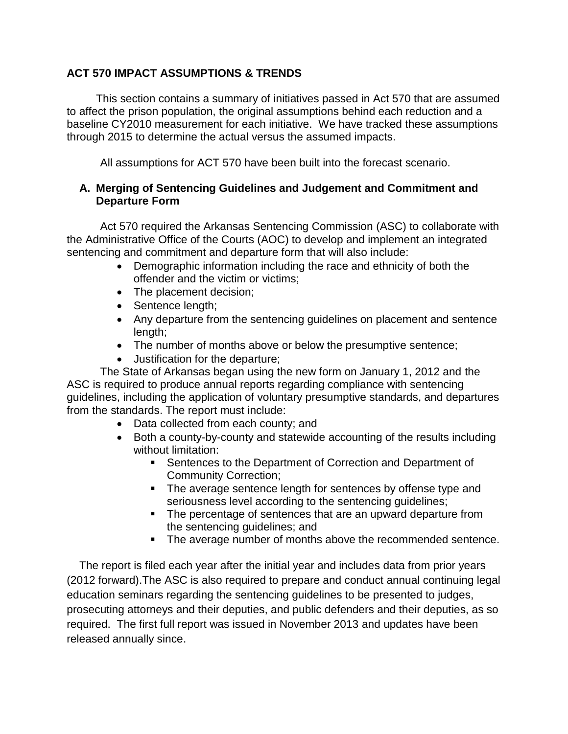#### **ACT 570 IMPACT ASSUMPTIONS & TRENDS**

This section contains a summary of initiatives passed in Act 570 that are assumed to affect the prison population, the original assumptions behind each reduction and a baseline CY2010 measurement for each initiative. We have tracked these assumptions through 2015 to determine the actual versus the assumed impacts.

All assumptions for ACT 570 have been built into the forecast scenario.

#### **A. Merging of Sentencing Guidelines and Judgement and Commitment and Departure Form**

Act 570 required the Arkansas Sentencing Commission (ASC) to collaborate with the Administrative Office of the Courts (AOC) to develop and implement an integrated sentencing and commitment and departure form that will also include:

- Demographic information including the race and ethnicity of both the offender and the victim or victims;
- The placement decision;
- Sentence length;
- Any departure from the sentencing guidelines on placement and sentence length;
- The number of months above or below the presumptive sentence;
- Justification for the departure;

The State of Arkansas began using the new form on January 1, 2012 and the ASC is required to produce annual reports regarding compliance with sentencing guidelines, including the application of voluntary presumptive standards, and departures from the standards. The report must include:

- Data collected from each county; and
- Both a county-by-county and statewide accounting of the results including without limitation:
	- Sentences to the Department of Correction and Department of Community Correction;
	- The average sentence length for sentences by offense type and seriousness level according to the sentencing guidelines;
	- The percentage of sentences that are an upward departure from the sentencing guidelines; and
	- The average number of months above the recommended sentence.

The report is filed each year after the initial year and includes data from prior years (2012 forward).The ASC is also required to prepare and conduct annual continuing legal education seminars regarding the sentencing guidelines to be presented to judges, prosecuting attorneys and their deputies, and public defenders and their deputies, as so required. The first full report was issued in November 2013 and updates have been released annually since.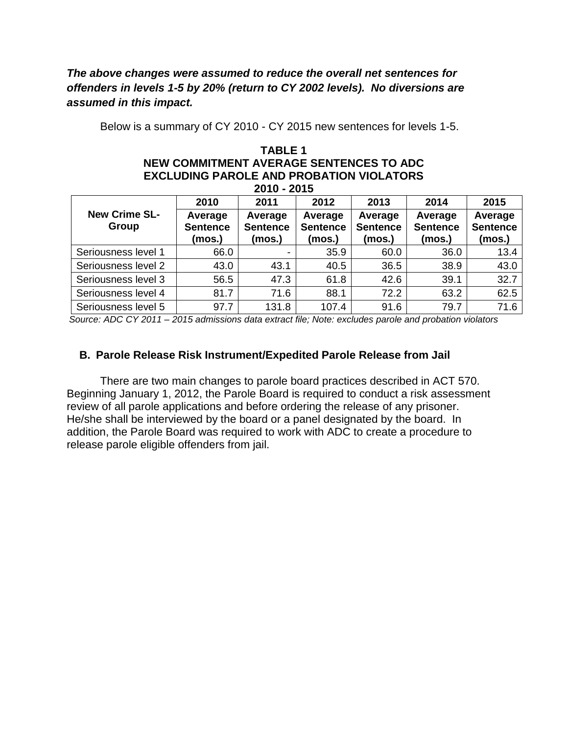## *The above changes were assumed to reduce the overall net sentences for offenders in levels 1-5 by 20% (return to CY 2002 levels). No diversions are assumed in this impact.*

Below is a summary of CY 2010 - CY 2015 new sentences for levels 1-5.

#### **TABLE 1 NEW COMMITMENT AVERAGE SENTENCES TO ADC EXCLUDING PAROLE AND PROBATION VIOLATORS 2010 - 2015**

| 2019 - 2019                   |                                      |                                      |                                      |                                      |                                      |                                      |  |  |  |  |
|-------------------------------|--------------------------------------|--------------------------------------|--------------------------------------|--------------------------------------|--------------------------------------|--------------------------------------|--|--|--|--|
|                               | 2010                                 | 2011                                 | 2012                                 | 2013                                 | 2014                                 | 2015                                 |  |  |  |  |
| <b>New Crime SL-</b><br>Group | Average<br><b>Sentence</b><br>(mos.) | Average<br><b>Sentence</b><br>(mos.) | Average<br><b>Sentence</b><br>(mos.) | Average<br><b>Sentence</b><br>(mos.) | Average<br><b>Sentence</b><br>(mos.) | Average<br><b>Sentence</b><br>(mos.) |  |  |  |  |
| Seriousness level 1           | 66.0                                 |                                      | 35.9                                 | 60.0                                 | 36.0                                 | 13.4                                 |  |  |  |  |
| Seriousness level 2           | 43.0                                 | 43.1                                 | 40.5                                 | 36.5                                 | 38.9                                 | 43.0                                 |  |  |  |  |
| Seriousness level 3           | 56.5                                 | 47.3                                 | 61.8                                 | 42.6                                 | 39.1                                 | 32.7                                 |  |  |  |  |
| Seriousness level 4           | 81.7                                 | 71.6                                 | 88.1                                 | 72.2                                 | 63.2                                 | 62.5                                 |  |  |  |  |
| Seriousness level 5           | 97.7                                 | 131.8                                | 107.4                                | 91.6                                 | 79.7                                 | 71.6                                 |  |  |  |  |

*Source: ADC CY 2011 – 2015 admissions data extract file; Note: excludes parole and probation violators*

#### **B. Parole Release Risk Instrument/Expedited Parole Release from Jail**

There are two main changes to parole board practices described in ACT 570. Beginning January 1, 2012, the Parole Board is required to conduct a risk assessment review of all parole applications and before ordering the release of any prisoner. He/she shall be interviewed by the board or a panel designated by the board. In addition, the Parole Board was required to work with ADC to create a procedure to release parole eligible offenders from jail.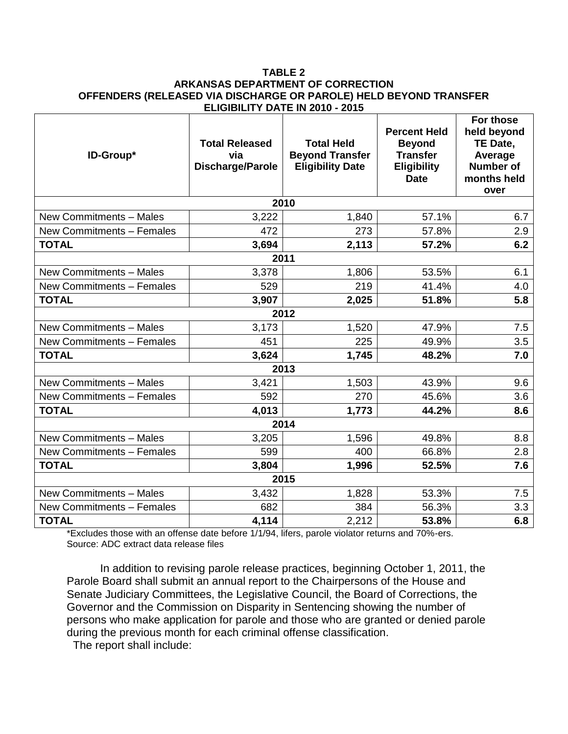#### **TABLE 2 ARKANSAS DEPARTMENT OF CORRECTION OFFENDERS (RELEASED VIA DISCHARGE OR PAROLE) HELD BEYOND TRANSFER ELIGIBILITY DATE IN 2010 - 2015**

| ID-Group*                 | <b>Total Released</b><br>via<br>Discharge/Parole | <b>Total Held</b><br><b>Beyond Transfer</b><br><b>Eligibility Date</b> | <b>Percent Held</b><br><b>Beyond</b><br><b>Transfer</b><br><b>Eligibility</b><br><b>Date</b> | For those<br>held beyond<br>TE Date,<br>Average<br><b>Number of</b><br>months held<br>over |
|---------------------------|--------------------------------------------------|------------------------------------------------------------------------|----------------------------------------------------------------------------------------------|--------------------------------------------------------------------------------------------|
|                           |                                                  | 2010                                                                   |                                                                                              |                                                                                            |
| New Commitments - Males   | 3,222                                            | 1,840                                                                  | 57.1%                                                                                        | 6.7                                                                                        |
| New Commitments - Females | 472                                              | 273                                                                    | 57.8%                                                                                        | 2.9                                                                                        |
| <b>TOTAL</b>              | 3,694                                            | 2,113                                                                  | 57.2%                                                                                        | 6.2                                                                                        |
|                           |                                                  | 2011                                                                   |                                                                                              |                                                                                            |
| New Commitments - Males   | 3,378                                            | 1,806                                                                  | 53.5%                                                                                        | 6.1                                                                                        |
| New Commitments - Females | 529                                              | 219                                                                    | 41.4%                                                                                        | 4.0                                                                                        |
| <b>TOTAL</b>              | 3,907                                            | 2,025                                                                  | 51.8%                                                                                        | 5.8                                                                                        |
|                           |                                                  | 2012                                                                   |                                                                                              |                                                                                            |
| New Commitments - Males   | 3,173                                            | 1,520                                                                  | 47.9%                                                                                        | 7.5                                                                                        |
| New Commitments - Females | 451                                              | 225                                                                    | 49.9%                                                                                        | 3.5                                                                                        |
| <b>TOTAL</b>              | 3,624                                            | 1,745                                                                  | 48.2%                                                                                        | 7.0                                                                                        |
|                           |                                                  | 2013                                                                   |                                                                                              |                                                                                            |
| New Commitments - Males   | 3,421                                            | 1,503                                                                  | 43.9%                                                                                        | 9.6                                                                                        |
| New Commitments - Females | 592                                              | 270                                                                    | 45.6%                                                                                        | 3.6                                                                                        |
| <b>TOTAL</b>              | 4,013                                            | 1,773                                                                  | 44.2%                                                                                        | 8.6                                                                                        |
|                           |                                                  | 2014                                                                   |                                                                                              |                                                                                            |
| New Commitments - Males   | 3,205                                            | 1,596                                                                  | 49.8%                                                                                        | 8.8                                                                                        |
| New Commitments - Females | 599                                              | 400                                                                    | 66.8%                                                                                        | 2.8                                                                                        |
| <b>TOTAL</b>              | 3,804                                            | 1,996                                                                  | 52.5%                                                                                        | 7.6                                                                                        |
|                           |                                                  | 2015                                                                   |                                                                                              |                                                                                            |
| New Commitments - Males   | 3,432                                            | 1,828                                                                  | 53.3%                                                                                        | 7.5                                                                                        |
| New Commitments - Females | 682                                              | 384                                                                    | 56.3%                                                                                        | 3.3                                                                                        |
| <b>TOTAL</b>              | 4,114                                            | 2,212                                                                  | 53.8%                                                                                        | 6.8                                                                                        |

\*Excludes those with an offense date before 1/1/94, lifers, parole violator returns and 70%-ers. Source: ADC extract data release files

In addition to revising parole release practices, beginning October 1, 2011, the Parole Board shall submit an annual report to the Chairpersons of the House and Senate Judiciary Committees, the Legislative Council, the Board of Corrections, the Governor and the Commission on Disparity in Sentencing showing the number of persons who make application for parole and those who are granted or denied parole during the previous month for each criminal offense classification.

The report shall include: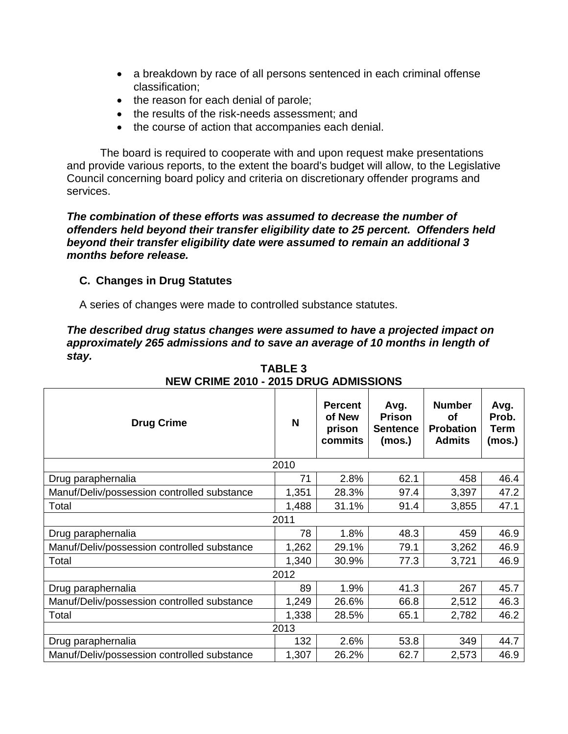- a breakdown by race of all persons sentenced in each criminal offense classification;
- the reason for each denial of parole;
- the results of the risk-needs assessment; and
- the course of action that accompanies each denial.

The board is required to cooperate with and upon request make presentations and provide various reports, to the extent the board's budget will allow, to the Legislative Council concerning board policy and criteria on discretionary offender programs and services.

*The combination of these efforts was assumed to decrease the number of offenders held beyond their transfer eligibility date to 25 percent. Offenders held beyond their transfer eligibility date were assumed to remain an additional 3 months before release.* 

## **C. Changes in Drug Statutes**

A series of changes were made to controlled substance statutes.

*The described drug status changes were assumed to have a projected impact on approximately 265 admissions and to save an average of 10 months in length of stay.* 

| <b>Drug Crime</b>                           | N     | <b>Percent</b><br>of New<br>prison<br>commits | Avg.<br><b>Prison</b><br><b>Sentence</b><br>(mos.) | <b>Number</b><br>οf<br><b>Probation</b><br><b>Admits</b> | Avg.<br>Prob.<br>Term<br>(mos.) |
|---------------------------------------------|-------|-----------------------------------------------|----------------------------------------------------|----------------------------------------------------------|---------------------------------|
|                                             | 2010  |                                               |                                                    |                                                          |                                 |
| Drug paraphernalia                          | 71    | 2.8%                                          | 62.1                                               | 458                                                      | 46.4                            |
| Manuf/Deliv/possession controlled substance | 1,351 | 28.3%                                         | 97.4                                               | 3,397                                                    | 47.2                            |
| Total                                       | 1,488 | 31.1%                                         | 91.4                                               | 3,855                                                    | 47.1                            |
|                                             | 2011  |                                               |                                                    |                                                          |                                 |
| Drug paraphernalia                          | 78    | 1.8%                                          | 48.3                                               | 459                                                      | 46.9                            |
| Manuf/Deliv/possession controlled substance | 1,262 | 29.1%                                         | 79.1                                               | 3,262                                                    | 46.9                            |
| Total                                       | 1,340 | 30.9%                                         | 77.3                                               | 3,721                                                    | 46.9                            |
|                                             | 2012  |                                               |                                                    |                                                          |                                 |
| Drug paraphernalia                          | 89    | 1.9%                                          | 41.3                                               | 267                                                      | 45.7                            |
| Manuf/Deliv/possession controlled substance | 1,249 | 26.6%                                         | 66.8                                               | 2,512                                                    | 46.3                            |
| Total                                       | 1,338 | 28.5%                                         | 65.1                                               | 2,782                                                    | 46.2                            |
|                                             | 2013  |                                               |                                                    |                                                          |                                 |
| Drug paraphernalia                          | 132   | 2.6%                                          | 53.8                                               | 349                                                      | 44.7                            |
| Manuf/Deliv/possession controlled substance | 1,307 | 26.2%                                         | 62.7                                               | 2,573                                                    | 46.9                            |

**TABLE 3 NEW CRIME 2010 - 2015 DRUG ADMISSIONS**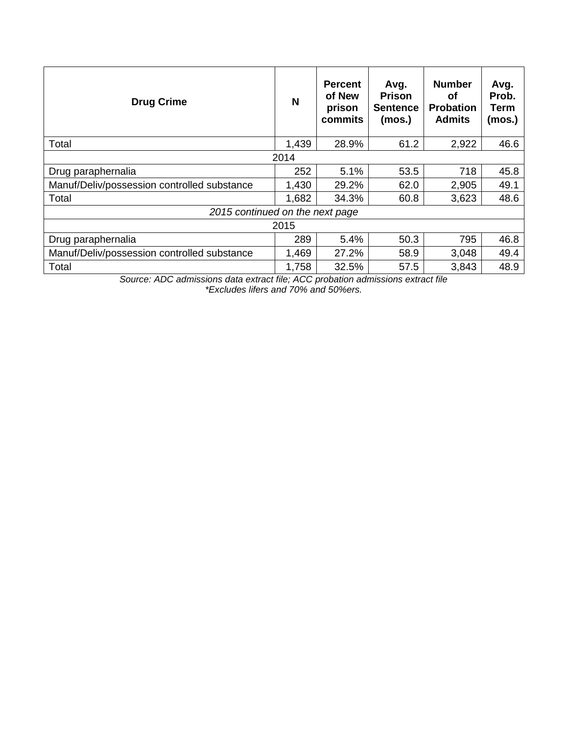| <b>Drug Crime</b>                           | N     | <b>Percent</b><br>of New<br>prison<br>commits | Avg.<br><b>Prison</b><br><b>Sentence</b><br>(mos.) | <b>Number</b><br>οf<br><b>Probation</b><br><b>Admits</b> | Avg.<br>Prob.<br>Term<br>(mos.) |
|---------------------------------------------|-------|-----------------------------------------------|----------------------------------------------------|----------------------------------------------------------|---------------------------------|
| Total                                       | 1,439 | 28.9%                                         | 61.2                                               | 2,922                                                    | 46.6                            |
|                                             | 2014  |                                               |                                                    |                                                          |                                 |
| Drug paraphernalia                          | 252   | 5.1%                                          | 53.5                                               | 718                                                      | 45.8                            |
| Manuf/Deliv/possession controlled substance | 1,430 | 29.2%                                         | 62.0                                               | 2,905                                                    | 49.1                            |
| Total                                       | 1,682 | 34.3%                                         | 60.8                                               | 3,623                                                    | 48.6                            |
| 2015 continued on the next page             |       |                                               |                                                    |                                                          |                                 |
|                                             | 2015  |                                               |                                                    |                                                          |                                 |
| Drug paraphernalia                          | 289   | 5.4%                                          | 50.3                                               | 795                                                      | 46.8                            |
| Manuf/Deliv/possession controlled substance | 1,469 | 27.2%                                         | 58.9                                               | 3,048                                                    | 49.4                            |
| Total                                       | 1,758 | 32.5%                                         | 57.5                                               | 3,843                                                    | 48.9                            |

*Source: ADC admissions data extract file; ACC probation admissions extract file \*Excludes lifers and 70% and 50%ers.*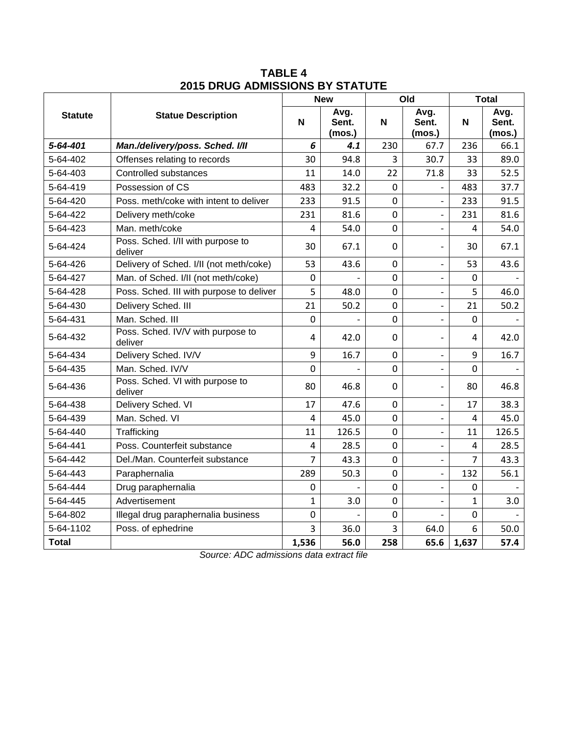|                |                                              |                | <b>New</b>              |             | Old                          | <b>Total</b> |                         |
|----------------|----------------------------------------------|----------------|-------------------------|-------------|------------------------------|--------------|-------------------------|
| <b>Statute</b> | <b>Statue Description</b>                    | N              | Avg.<br>Sent.<br>(mos.) | N           | Avg.<br>Sent.<br>(mos.)      | N            | Avg.<br>Sent.<br>(mos.) |
| 5-64-401       | Man./delivery/poss. Sched. I/II              | 6              | 4.1                     | 230         | 67.7                         | 236          | 66.1                    |
| 5-64-402       | Offenses relating to records                 | 30             | 94.8                    | 3           | 30.7                         | 33           | 89.0                    |
| 5-64-403       | Controlled substances                        | 11             | 14.0                    | 22          | 71.8                         | 33           | 52.5                    |
| 5-64-419       | Possession of CS                             | 483            | 32.2                    | $\mathbf 0$ |                              | 483          | 37.7                    |
| 5-64-420       | Poss, meth/coke with intent to deliver       | 233            | 91.5                    | $\mathbf 0$ | $\overline{\phantom{a}}$     | 233          | 91.5                    |
| 5-64-422       | Delivery meth/coke                           | 231            | 81.6                    | $\mathbf 0$ | $\overline{a}$               | 231          | 81.6                    |
| 5-64-423       | Man. meth/coke                               | 4              | 54.0                    | $\mathbf 0$ | $\overline{\phantom{a}}$     | 4            | 54.0                    |
| 5-64-424       | Poss. Sched. I/II with purpose to<br>deliver | 30             | 67.1                    | $\mathbf 0$ | $\overline{\phantom{0}}$     | 30           | 67.1                    |
| 5-64-426       | Delivery of Sched. I/II (not meth/coke)      | 53             | 43.6                    | $\mathbf 0$ | $\overline{\phantom{0}}$     | 53           | 43.6                    |
| 5-64-427       | Man. of Sched. I/II (not meth/coke)          | $\mathbf 0$    |                         | $\mathbf 0$ | $\overline{a}$               | 0            |                         |
| 5-64-428       | Poss. Sched. III with purpose to deliver     | 5              | 48.0                    | $\mathbf 0$ | $\blacksquare$               | 5            | 46.0                    |
| 5-64-430       | Delivery Sched. III                          | 21             | 50.2                    | $\mathbf 0$ | $\overline{a}$               | 21           | 50.2                    |
| 5-64-431       | Man. Sched. III                              | $\overline{0}$ |                         | $\mathbf 0$ | $\qquad \qquad -$            | 0            |                         |
| 5-64-432       | Poss. Sched. IV/V with purpose to<br>deliver | 4              | 42.0                    | $\mathbf 0$ | $\overline{\phantom{0}}$     | 4            | 42.0                    |
| 5-64-434       | Delivery Sched. IV/V                         | 9              | 16.7                    | $\mathbf 0$ | $\overline{\phantom{0}}$     | 9            | 16.7                    |
| 5-64-435       | Man. Sched. IV/V                             | 0              |                         | $\mathbf 0$ | $\qquad \qquad \blacksquare$ | 0            |                         |
| 5-64-436       | Poss. Sched. VI with purpose to<br>deliver   | 80             | 46.8                    | 0           | $\overline{\phantom{0}}$     | 80           | 46.8                    |
| 5-64-438       | Delivery Sched. VI                           | 17             | 47.6                    | $\mathbf 0$ | $\overline{\phantom{0}}$     | 17           | 38.3                    |
| 5-64-439       | Man. Sched. VI                               | 4              | 45.0                    | 0           | $\overline{\phantom{0}}$     | 4            | 45.0                    |
| 5-64-440       | Trafficking                                  | 11             | 126.5                   | 0           | $\blacksquare$               | 11           | 126.5                   |
| 5-64-441       | Poss. Counterfeit substance                  | $\overline{4}$ | 28.5                    | $\mathbf 0$ | $\overline{a}$               | 4            | 28.5                    |
| 5-64-442       | Del./Man. Counterfeit substance              | 7              | 43.3                    | $\pmb{0}$   | $\qquad \qquad \blacksquare$ | 7            | 43.3                    |
| 5-64-443       | Paraphernalia                                | 289            | 50.3                    | $\mathbf 0$ | $\overline{\phantom{0}}$     | 132          | 56.1                    |
| 5-64-444       | Drug paraphernalia                           | 0              |                         | $\mathbf 0$ |                              | 0            |                         |
| 5-64-445       | Advertisement                                | 1              | 3.0                     | $\mathbf 0$ |                              | 1            | 3.0                     |
| 5-64-802       | Illegal drug paraphernalia business          | 0              |                         | $\mathbf 0$ |                              | 0            |                         |
| 5-64-1102      | Poss. of ephedrine                           | 3              | 36.0                    | 3           | 64.0                         | 6            | 50.0                    |
| <b>Total</b>   |                                              | 1,536          | 56.0                    | 258         | 65.6                         | 1,637        | 57.4                    |

**TABLE 4 2015 DRUG ADMISSIONS BY STATUTE**

*Source: ADC admissions data extract file*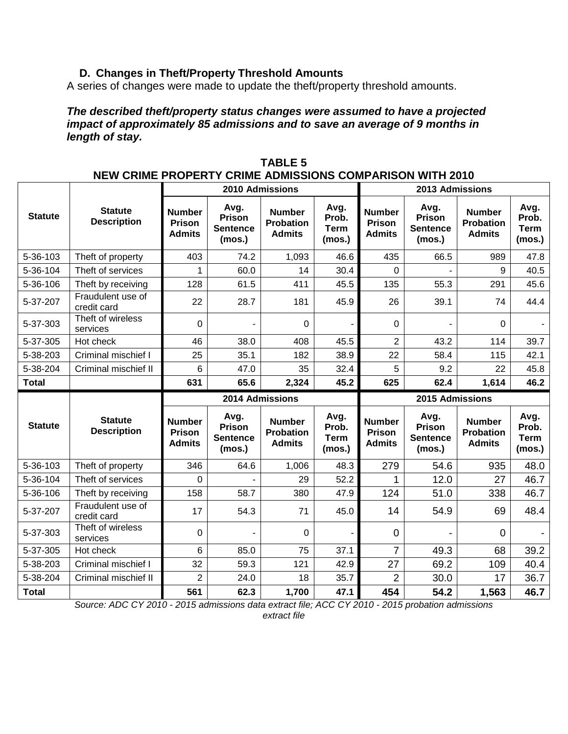# **D. Changes in Theft/Property Threshold Amounts**

A series of changes were made to update the theft/property threshold amounts.

*The described theft/property status changes were assumed to have a projected impact of approximately 85 admissions and to save an average of 9 months in length of stay.* 

|                |                                      |                                                 | <b>2010 Admissions</b>                      |                                                    |                                        |                                                 | <b>2013 Admissions</b>                      |                                                    |                                        |
|----------------|--------------------------------------|-------------------------------------------------|---------------------------------------------|----------------------------------------------------|----------------------------------------|-------------------------------------------------|---------------------------------------------|----------------------------------------------------|----------------------------------------|
| <b>Statute</b> | <b>Statute</b><br><b>Description</b> | <b>Number</b><br>Prison<br><b>Admits</b>        | Avg.<br>Prison<br><b>Sentence</b><br>(mos.) | <b>Number</b><br><b>Probation</b><br><b>Admits</b> | Avg.<br>Prob.<br><b>Term</b><br>(mos.) | <b>Number</b><br><b>Prison</b><br><b>Admits</b> | Avg.<br>Prison<br><b>Sentence</b><br>(mos.) | <b>Number</b><br><b>Probation</b><br><b>Admits</b> | Avg.<br>Prob.<br><b>Term</b><br>(mos.) |
| 5-36-103       | Theft of property                    | 403                                             | 74.2                                        | 1,093                                              | 46.6                                   | 435                                             | 66.5                                        | 989                                                | 47.8                                   |
| 5-36-104       | Theft of services                    | 1                                               | 60.0                                        | 14                                                 | 30.4                                   | 0                                               |                                             | 9                                                  | 40.5                                   |
| 5-36-106       | Theft by receiving                   | 128                                             | 61.5                                        | 411                                                | 45.5                                   | 135                                             | 55.3                                        | 291                                                | 45.6                                   |
| 5-37-207       | Fraudulent use of<br>credit card     | 22                                              | 28.7                                        | 181                                                | 45.9                                   | 26                                              | 39.1                                        | 74                                                 | 44.4                                   |
| 5-37-303       | Theft of wireless<br>services        | $\Omega$                                        |                                             | 0                                                  |                                        | $\mathbf 0$                                     |                                             | $\Omega$                                           |                                        |
| 5-37-305       | Hot check                            | 46                                              | 38.0                                        | 408                                                | 45.5                                   | $\overline{2}$                                  | 43.2                                        | 114                                                | 39.7                                   |
| 5-38-203       | Criminal mischief I                  | 25                                              | 35.1                                        | 182                                                | 38.9                                   | 22                                              | 58.4                                        | 115                                                | 42.1                                   |
| 5-38-204       | Criminal mischief II                 | $6\phantom{1}$                                  | 47.0                                        | 35                                                 | 32.4                                   | 5                                               | 9.2                                         | 22                                                 | 45.8                                   |
| <b>Total</b>   |                                      | 631                                             | 65.6                                        | 2,324                                              | 45.2                                   | 625                                             | 62.4                                        | 1,614                                              | 46.2                                   |
|                |                                      |                                                 |                                             |                                                    |                                        |                                                 |                                             |                                                    |                                        |
|                |                                      |                                                 | 2014 Admissions                             |                                                    |                                        |                                                 | 2015 Admissions                             |                                                    |                                        |
| <b>Statute</b> | <b>Statute</b><br><b>Description</b> | <b>Number</b><br><b>Prison</b><br><b>Admits</b> | Avg.<br>Prison<br><b>Sentence</b><br>(mos.) | <b>Number</b><br><b>Probation</b><br><b>Admits</b> | Avg.<br>Prob.<br><b>Term</b><br>(mos.) | <b>Number</b><br><b>Prison</b><br><b>Admits</b> | Avg.<br>Prison<br><b>Sentence</b><br>(mos.) | <b>Number</b><br><b>Probation</b><br><b>Admits</b> | Avg.<br>Prob.<br><b>Term</b><br>(mos.) |
| 5-36-103       | Theft of property                    | 346                                             | 64.6                                        | 1,006                                              | 48.3                                   | 279                                             | 54.6                                        | 935                                                | 48.0                                   |
| 5-36-104       | Theft of services                    | $\Omega$                                        |                                             | 29                                                 | 52.2                                   | 1                                               | 12.0                                        | 27                                                 | 46.7                                   |
| 5-36-106       | Theft by receiving                   | 158                                             | 58.7                                        | 380                                                | 47.9                                   | 124                                             | 51.0                                        | 338                                                | 46.7                                   |
| 5-37-207       | Fraudulent use of<br>credit card     | 17                                              | 54.3                                        | 71                                                 | 45.0                                   | 14                                              | 54.9                                        | 69                                                 | 48.4                                   |
| 5-37-303       | Theft of wireless<br>services        | 0                                               |                                             | $\Omega$                                           |                                        | $\overline{0}$                                  |                                             | $\overline{0}$                                     |                                        |
| 5-37-305       | Hot check                            | 6                                               | 85.0                                        | 75                                                 | 37.1                                   | $\overline{7}$                                  | 49.3                                        | 68                                                 | 39.2                                   |
| 5-38-203       | Criminal mischief I                  | 32                                              | 59.3                                        | 121                                                | 42.9                                   | 27                                              | 69.2                                        | 109                                                | 40.4                                   |
| 5-38-204       | Criminal mischief II                 | $\overline{2}$                                  | 24.0                                        | 18                                                 | 35.7                                   | $\overline{2}$                                  | 30.0                                        | 17                                                 | 36.7                                   |

**TABLE 5 NEW CRIME PROPERTY CRIME ADMISSIONS COMPARISON WITH 2010**

*Source: ADC CY 2010 - 2015 admissions data extract file; ACC CY 2010 - 2015 probation admissions extract file*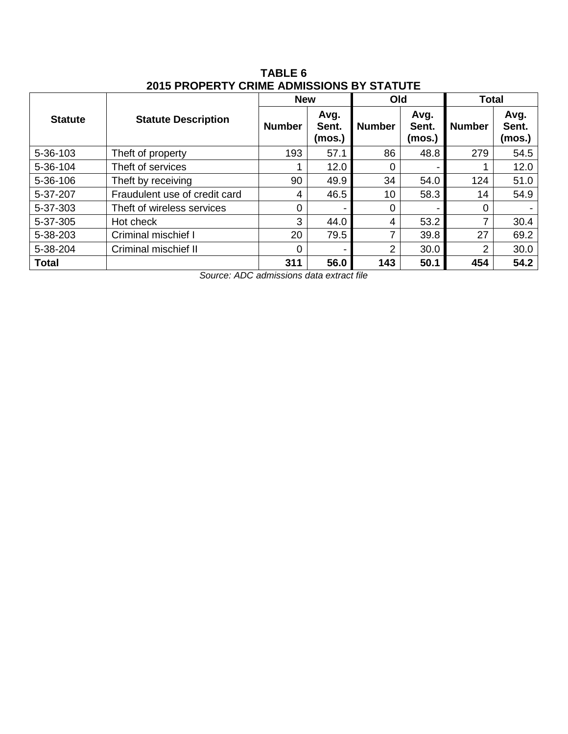|                |                               | <b>New</b>    |                         | Old           |                         | <b>Total</b>  |                         |
|----------------|-------------------------------|---------------|-------------------------|---------------|-------------------------|---------------|-------------------------|
| <b>Statute</b> | <b>Statute Description</b>    | <b>Number</b> | Avg.<br>Sent.<br>(mos.) | <b>Number</b> | Avg.<br>Sent.<br>(mos.) | <b>Number</b> | Avg.<br>Sent.<br>(mos.) |
| 5-36-103       | Theft of property             | 193           | 57.1                    | 86            | 48.8                    | 279           | 54.5                    |
| 5-36-104       | Theft of services             |               | 12.0                    | $\Omega$      |                         |               | 12.0                    |
| 5-36-106       | Theft by receiving            | 90            | 49.9                    | 34            | 54.0                    | 124           | 51.0                    |
| 5-37-207       | Fraudulent use of credit card | 4             | 46.5                    | 10            | 58.3                    | 14            | 54.9                    |
| 5-37-303       | Theft of wireless services    | 0             | $\blacksquare$          | 0             |                         | 0             |                         |
| 5-37-305       | Hot check                     | 3             | 44.0                    | 4             | 53.2                    | 7             | 30.4                    |
| 5-38-203       | Criminal mischief I           | 20            | 79.5                    | 7             | 39.8                    | 27            | 69.2                    |
| 5-38-204       | Criminal mischief II          | 0             | -                       | 2             | 30.0                    | 2             | 30.0                    |
| <b>Total</b>   |                               | 311           | 56.0                    | 143           | 50.1                    | 454           | 54.2                    |

**TABLE 6 2015 PROPERTY CRIME ADMISSIONS BY STATUTE**

*Source: ADC admissions data extract file*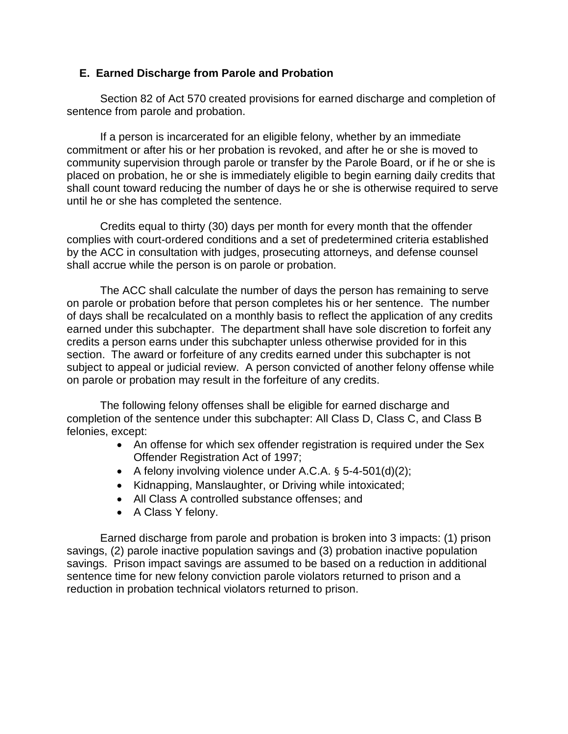#### **E. Earned Discharge from Parole and Probation**

Section 82 of Act 570 created provisions for earned discharge and completion of sentence from parole and probation.

If a person is incarcerated for an eligible felony, whether by an immediate commitment or after his or her probation is revoked, and after he or she is moved to community supervision through parole or transfer by the Parole Board, or if he or she is placed on probation, he or she is immediately eligible to begin earning daily credits that shall count toward reducing the number of days he or she is otherwise required to serve until he or she has completed the sentence.

Credits equal to thirty (30) days per month for every month that the offender complies with court-ordered conditions and a set of predetermined criteria established by the ACC in consultation with judges, prosecuting attorneys, and defense counsel shall accrue while the person is on parole or probation.

The ACC shall calculate the number of days the person has remaining to serve on parole or probation before that person completes his or her sentence. The number of days shall be recalculated on a monthly basis to reflect the application of any credits earned under this subchapter. The department shall have sole discretion to forfeit any credits a person earns under this subchapter unless otherwise provided for in this section. The award or forfeiture of any credits earned under this subchapter is not subject to appeal or judicial review. A person convicted of another felony offense while on parole or probation may result in the forfeiture of any credits.

The following felony offenses shall be eligible for earned discharge and completion of the sentence under this subchapter: All Class D, Class C, and Class B felonies, except:

- An offense for which sex offender registration is required under the Sex Offender Registration Act of 1997;
- A felony involving violence under A.C.A.  $\S$  5-4-501(d)(2);
- Kidnapping, Manslaughter, or Driving while intoxicated;
- All Class A controlled substance offenses; and
- A Class Y felony.

Earned discharge from parole and probation is broken into 3 impacts: (1) prison savings, (2) parole inactive population savings and (3) probation inactive population savings. Prison impact savings are assumed to be based on a reduction in additional sentence time for new felony conviction parole violators returned to prison and a reduction in probation technical violators returned to prison.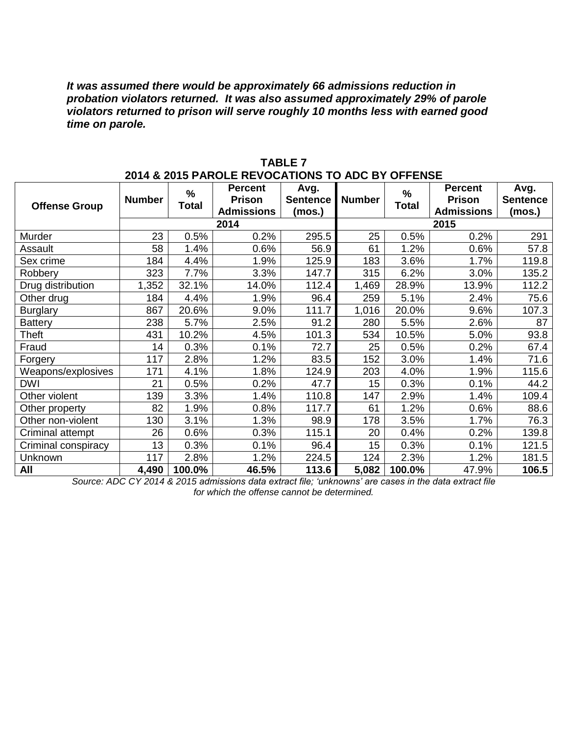*It was assumed there would be approximately 66 admissions reduction in probation violators returned. It was also assumed approximately 29% of parole violators returned to prison will serve roughly 10 months less with earned good time on parole.*

|                      |               |                      | ZUI4 & ZUI3 FANULE NEVUCATIONS TU ADU DI UFFENSE     |                                   |               |                      |                                               |                                   |
|----------------------|---------------|----------------------|------------------------------------------------------|-----------------------------------|---------------|----------------------|-----------------------------------------------|-----------------------------------|
| <b>Offense Group</b> | <b>Number</b> | $\%$<br><b>Total</b> | <b>Percent</b><br><b>Prison</b><br><b>Admissions</b> | Avg.<br><b>Sentence</b><br>(mos.) | <b>Number</b> | $\%$<br><b>Total</b> | <b>Percent</b><br>Prison<br><b>Admissions</b> | Avg.<br><b>Sentence</b><br>(mos.) |
|                      |               |                      | 2014                                                 |                                   |               |                      | 2015                                          |                                   |
| Murder               | 23            | 0.5%                 | 0.2%                                                 | 295.5                             | 25            | 0.5%                 | 0.2%                                          | 291                               |
| Assault              | 58            | 1.4%                 | 0.6%                                                 | 56.9                              | 61            | 1.2%                 | 0.6%                                          | 57.8                              |
| Sex crime            | 184           | 4.4%                 | 1.9%                                                 | 125.9                             | 183           | 3.6%                 | 1.7%                                          | 119.8                             |
| Robbery              | 323           | 7.7%                 | 3.3%                                                 | 147.7                             | 315           | 6.2%                 | 3.0%                                          | 135.2                             |
| Drug distribution    | 1,352         | 32.1%                | 14.0%                                                | 112.4                             | 1,469         | 28.9%                | 13.9%                                         | 112.2                             |
| Other drug           | 184           | 4.4%                 | 1.9%                                                 | 96.4                              | 259           | 5.1%                 | 2.4%                                          | 75.6                              |
| <b>Burglary</b>      | 867           | 20.6%                | 9.0%                                                 | 111.7                             | 1,016         | 20.0%                | 9.6%                                          | 107.3                             |
| <b>Battery</b>       | 238           | 5.7%                 | 2.5%                                                 | 91.2                              | 280           | 5.5%                 | 2.6%                                          | 87                                |
| Theft                | 431           | 10.2%                | 4.5%                                                 | 101.3                             | 534           | 10.5%                | 5.0%                                          | 93.8                              |
| Fraud                | 14            | 0.3%                 | 0.1%                                                 | 72.7                              | 25            | 0.5%                 | 0.2%                                          | 67.4                              |
| Forgery              | 117           | 2.8%                 | 1.2%                                                 | 83.5                              | 152           | 3.0%                 | 1.4%                                          | 71.6                              |
| Weapons/explosives   | 171           | 4.1%                 | 1.8%                                                 | 124.9                             | 203           | 4.0%                 | 1.9%                                          | 115.6                             |
| <b>DWI</b>           | 21            | 0.5%                 | 0.2%                                                 | 47.7                              | 15            | 0.3%                 | 0.1%                                          | 44.2                              |
| Other violent        | 139           | 3.3%                 | 1.4%                                                 | 110.8                             | 147           | 2.9%                 | 1.4%                                          | 109.4                             |
| Other property       | 82            | 1.9%                 | 0.8%                                                 | 117.7                             | 61            | 1.2%                 | 0.6%                                          | 88.6                              |
| Other non-violent    | 130           | 3.1%                 | 1.3%                                                 | 98.9                              | 178           | 3.5%                 | 1.7%                                          | 76.3                              |
| Criminal attempt     | 26            | 0.6%                 | 0.3%                                                 | 115.1                             | 20            | 0.4%                 | 0.2%                                          | 139.8                             |
| Criminal conspiracy  | 13            | 0.3%                 | 0.1%                                                 | 96.4                              | 15            | 0.3%                 | 0.1%                                          | 121.5                             |
| Unknown              | 117           | 2.8%                 | 1.2%                                                 | 224.5                             | 124           | 2.3%                 | 1.2%                                          | 181.5                             |
| All                  | 4,490         | 100.0%               | 46.5%                                                | 113.6                             | 5,082         | 100.0%               | 47.9%                                         | 106.5                             |

**TABLE 7 2014 & 2015 PAROLE REVOCATIONS TO ADC BY OFFENSE**

*Source: ADC CY 2014 & 2015 admissions data extract file; 'unknowns' are cases in the data extract file for which the offense cannot be determined.*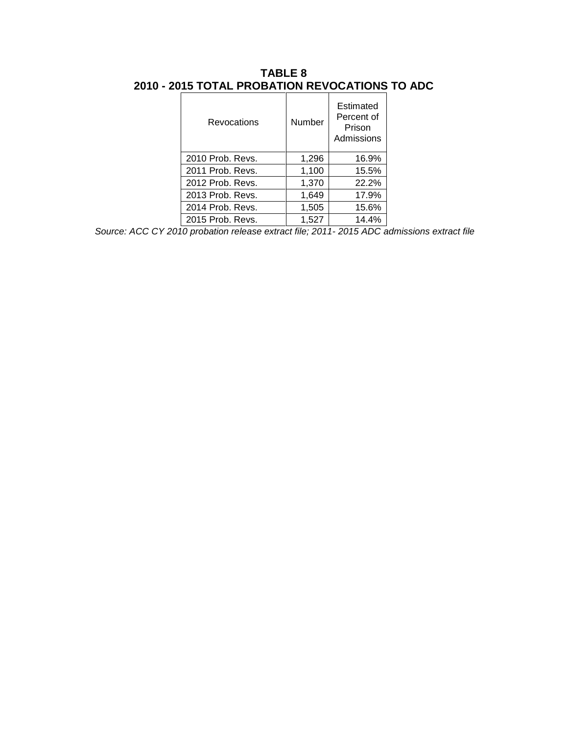| Revocations      | Number | Estimated<br>Percent of<br>Prison<br>Admissions |
|------------------|--------|-------------------------------------------------|
| 2010 Prob. Revs. | 1,296  | 16.9%                                           |
| 2011 Prob. Revs. | 1,100  | 15.5%                                           |
| 2012 Prob. Revs. | 1,370  | 22.2%                                           |
| 2013 Prob. Revs. | 1,649  | 17.9%                                           |
| 2014 Prob. Revs. | 1,505  | 15.6%                                           |
| 2015 Prob. Revs. | 1,527  | 14.4%                                           |

## **TABLE 8 2010 - 2015 TOTAL PROBATION REVOCATIONS TO ADC**

*Source: ACC CY 2010 probation release extract file; 2011- 2015 ADC admissions extract file*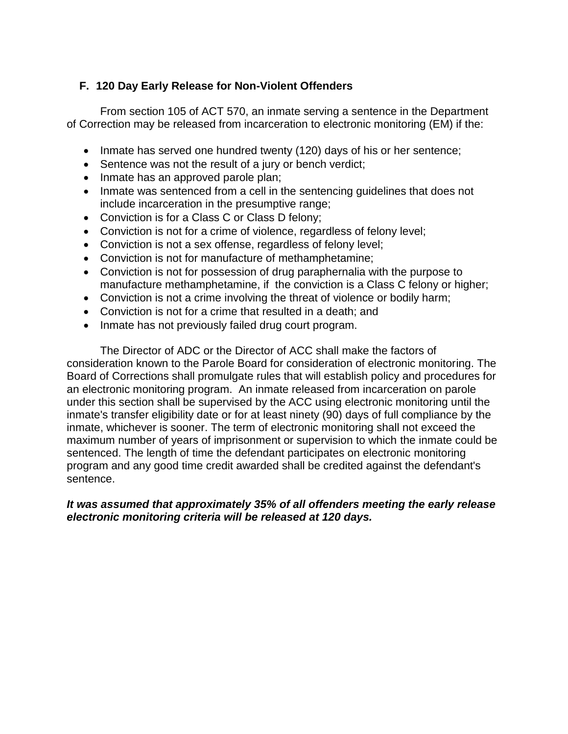## **F. 120 Day Early Release for Non-Violent Offenders**

From section 105 of ACT 570, an inmate serving a sentence in the Department of Correction may be released from incarceration to electronic monitoring (EM) if the:

- Inmate has served one hundred twenty (120) days of his or her sentence;
- Sentence was not the result of a jury or bench verdict;
- Inmate has an approved parole plan;
- Inmate was sentenced from a cell in the sentencing guidelines that does not include incarceration in the presumptive range;
- Conviction is for a Class C or Class D felony;
- Conviction is not for a crime of violence, regardless of felony level;
- Conviction is not a sex offense, regardless of felony level;
- Conviction is not for manufacture of methamphetamine;
- Conviction is not for possession of drug paraphernalia with the purpose to manufacture methamphetamine, if the conviction is a Class C felony or higher;
- Conviction is not a crime involving the threat of violence or bodily harm;
- Conviction is not for a crime that resulted in a death; and
- Inmate has not previously failed drug court program.

The Director of ADC or the Director of ACC shall make the factors of consideration known to the Parole Board for consideration of electronic monitoring. The Board of Corrections shall promulgate rules that will establish policy and procedures for an electronic monitoring program. An inmate released from incarceration on parole under this section shall be supervised by the ACC using electronic monitoring until the inmate's transfer eligibility date or for at least ninety (90) days of full compliance by the inmate, whichever is sooner. The term of electronic monitoring shall not exceed the maximum number of years of imprisonment or supervision to which the inmate could be sentenced. The length of time the defendant participates on electronic monitoring program and any good time credit awarded shall be credited against the defendant's sentence.

#### *It was assumed that approximately 35% of all offenders meeting the early release electronic monitoring criteria will be released at 120 days.*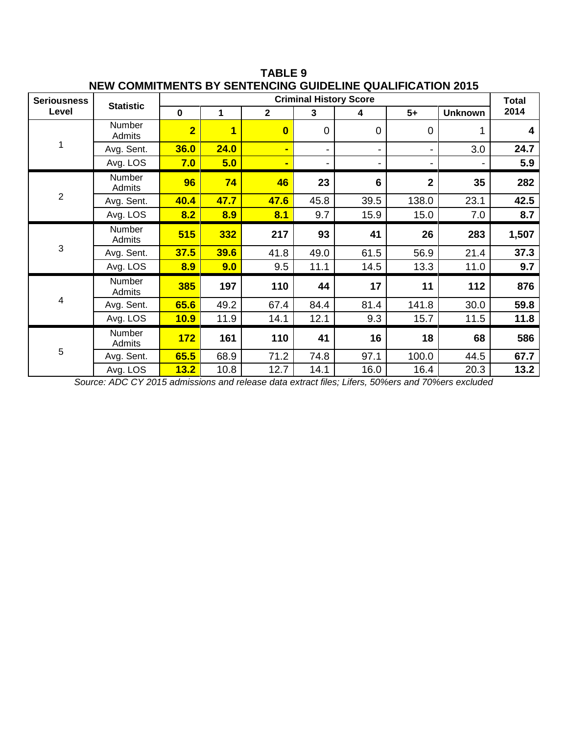| <u>INEW COMINILINERITY DT JENTERUNG GUIDEEINE QUAEILIUATION ZUTJ</u> |                         |                               |                         |                |                         |          |                |                |       |
|----------------------------------------------------------------------|-------------------------|-------------------------------|-------------------------|----------------|-------------------------|----------|----------------|----------------|-------|
| <b>Seriousness</b>                                                   | <b>Statistic</b>        | <b>Criminal History Score</b> |                         |                |                         |          |                |                |       |
| Level                                                                |                         | $\mathbf 0$                   | 1                       | $\overline{2}$ | $\overline{\mathbf{3}}$ | 4        | $5+$           | <b>Unknown</b> | 2014  |
|                                                                      | Number<br><b>Admits</b> | $\overline{2}$                | $\overline{\mathbf{1}}$ | $\mathbf{0}$   | $\mathbf 0$             | $\Omega$ | $\Omega$       |                | 4     |
|                                                                      | Avg. Sent.              | 36.0                          | 24.0                    |                |                         |          |                | 3.0            | 24.7  |
|                                                                      | Avg. LOS                | 7.0                           | 5.0                     |                | -                       |          |                |                | 5.9   |
|                                                                      | Number<br>Admits        | 96                            | 74                      | 46             | 23                      | 6        | $\overline{2}$ | 35             | 282   |
| $\overline{2}$                                                       | Avg. Sent.              | 40.4                          | 47.7                    | 47.6           | 45.8                    | 39.5     | 138.0          | 23.1           | 42.5  |
|                                                                      | Avg. LOS                | 8.2                           | 8.9                     | 8.1            | 9.7                     | 15.9     | 15.0           | 7.0            | 8.7   |
|                                                                      | Number<br>Admits        | 515                           | 332                     | 217            | 93                      | 41       | 26             | 283            | 1,507 |
| 3                                                                    | Avg. Sent.              | 37.5                          | 39.6                    | 41.8           | 49.0                    | 61.5     | 56.9           | 21.4           | 37.3  |
|                                                                      | Avg. LOS                | 8.9                           | 9.0                     | 9.5            | 11.1                    | 14.5     | 13.3           | 11.0           | 9.7   |
|                                                                      | Number<br>Admits        | 385                           | 197                     | 110            | 44                      | 17       | 11             | 112            | 876   |
| $\overline{\mathbf{4}}$                                              | Avg. Sent.              | 65.6                          | 49.2                    | 67.4           | 84.4                    | 81.4     | 141.8          | 30.0           | 59.8  |
|                                                                      | Avg. LOS                | 10.9                          | 11.9                    | 14.1           | 12.1                    | 9.3      | 15.7           | 11.5           | 11.8  |
|                                                                      | Number<br>Admits        | 172                           | 161                     | 110            | 41                      | 16       | 18             | 68             | 586   |
| 5                                                                    | Avg. Sent.              | 65.5                          | 68.9                    | 71.2           | 74.8                    | 97.1     | 100.0          | 44.5           | 67.7  |
|                                                                      | Avg. LOS                | 13.2                          | 10.8                    | 12.7           | 14.1                    | 16.0     | 16.4           | 20.3           | 13.2  |

**TABLE 9 NEW COMMITMENTS BY SENTENCING GUIDELINE QUALIFICATION 2015**

*Source: ADC CY 2015 admissions and release data extract files; Lifers, 50%ers and 70%ers excluded*